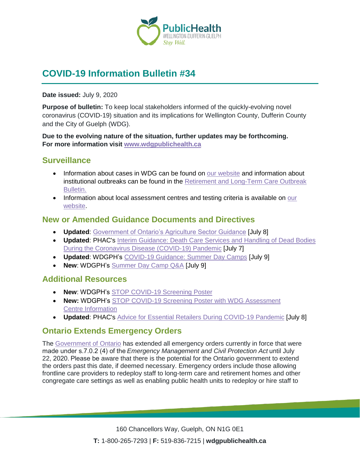

# **COVID-19 Information Bulletin #34**

**Date issued:** July 9, 2020

**Purpose of bulletin:** To keep local stakeholders informed of the quickly-evolving novel coronavirus (COVID-19) situation and its implications for Wellington County, Dufferin County and the City of Guelph (WDG).

**Due to the evolving nature of the situation, further updates may be forthcoming. For more information visit [www.wdgpublichealth.ca](http://www.wdgpublichealth.ca/)**

#### **Surveillance**

- Information about cases in WDG can be found on [our website](https://wdgpublichealth.ca/your-health/covid-19-information-public/status-cases-wdg) and information about institutional outbreaks can be found in the [Retirement and Long-Term Care Outbreak](https://wdgpublichealth.ca/node/1542)  [Bulletin.](https://wdgpublichealth.ca/node/1542)
- Information about local assessment centres and testing criteria is available on our [website.](https://www.wdgpublichealth.ca/your-health/covid-19-information-public/assessment-centres-wdg)

### **New or Amended Guidance Documents and Directives**

- **Updated**: [Government of Ontario's Agriculture Sector Guidance](https://www.ontario.ca/page/agriculture-health-and-safety-during-covid-19) [July 8]
- **Updated**: PHAC's [Interim Guidance: Death Care Services and Handling of Dead Bodies](https://www.canada.ca/en/public-health/services/diseases/2019-novel-coronavirus-infection/guidance-documents/death-care-services-handling-dead-bodies.html)  During the [Coronavirus Disease \(COVID-19\) Pandemic](https://www.canada.ca/en/public-health/services/diseases/2019-novel-coronavirus-infection/guidance-documents/death-care-services-handling-dead-bodies.html) [July 7]
- **Updated**: WDGPH's [COVID-19 Guidance: Summer Day Camps](https://wdgpublichealth.ca/sites/default/files/wdgph_covid-19_summer_day_camp_guidance_june_11_2020.pdf) [July 9]
- **New**: WDGPH's [Summer Day Camp Q&A](https://wdgpublichealth.ca/sites/default/files/q_and_a_day_camps.pdf) [July 9]

### **Additional Resources**

- **New**: WDGPH's STOP [COVID-19 Screening](https://wdgpublichealth.ca/sites/default/files/covid_19_screening_poster.pdf) Poster
- **New:** WDGPH's STOP [COVID-19 Screening Poster with](https://wdgpublichealth.ca/sites/default/files/covid_19_screening_poster_with_assessment_centres.pdf) WDG Assessment Centre [Information](https://wdgpublichealth.ca/sites/default/files/covid_19_screening_poster_with_assessment_centres.pdf)
- **Updated**: PHAC's [Advice for Essential Retailers During COVID-19 Pandemic](https://www.canada.ca/en/public-health/services/diseases/2019-novel-coronavirus-infection/guidance-documents/advice-essential-retailers.html) [July 8]

### **Ontario Extends Emergency Orders**

The [Government of Ontario](https://news.ontario.ca/opo/en/2020/07/ontario-extends-emergency-orders-1.html) has extended all emergency orders currently in force that were made under s.7.0.2 (4) of the *Emergency Management and Civil Protection Act* until July 22, 2020. Please be aware that there is the potential for the Ontario government to extend the orders past this date, if deemed necessary. Emergency orders include those allowing frontline care providers to redeploy staff to long-term care and retirement homes and other congregate care settings as well as enabling public health units to redeploy or hire staff to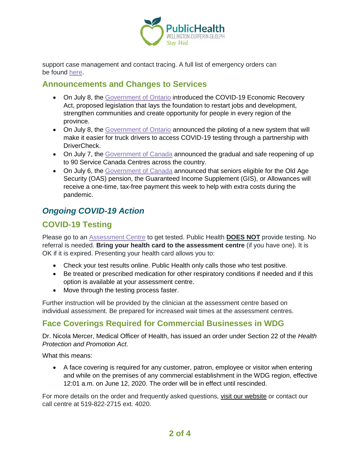

support case management and contact tracing. A full list of emergency orders can be found [here.](https://www.ontario.ca/page/emergency-information?_ga=2.113397895.1499373585.1589204859-1123331746.1579028832)

#### **Announcements and Changes to Services**

- On July 8, the [Government of Ontario](https://news.ontario.ca/opo/en/2020/07/ontario-starting-down-the-path-to-growth-renewal-and-economic-recovery-1.html) introduced the COVID-19 Economic Recovery Act, proposed legislation that lays the foundation to restart jobs and development, strengthen communities and create opportunity for people in every region of the province.
- On July 8, the [Government of Ontario](https://news.ontario.ca/mto/en/2020/07/ontario-makes-it-easier-for-truck-drivers-to-get-tested-for-covid-19.html) announced the piloting of a new system that will make it easier for truck drivers to access COVID-19 testing through a partnership with DriverCheck.
- On July 7, the [Government of Canada](https://www.canada.ca/en/employment-social-development/news/2020/07/service-canada-begins-the-gradual-and-safe-reopening-of-in-person-locations-across-the-country.html) announced the gradual and safe reopening of up to 90 Service Canada Centres across the country.
- On July 6, the [Government of Canada](https://www.canada.ca/en/employment-social-development/news/2020/07/canadian-seniors-to-receive-one-time-tax-free-payment-this-week.html) announced that seniors eligible for the Old Age Security (OAS) pension, the Guaranteed Income Supplement (GIS), or Allowances will receive a one-time, tax-free payment this week to help with extra costs during the pandemic.

## *Ongoing COVID-19 Action*

## **COVID-19 Testing**

Please go to an [Assessment Centre](https://wdgpublichealth.ca/your-health/covid-19-information-public/assessment-centres-wdg) to get tested. Public Health **DOES NOT** provide testing. No referral is needed. **Bring your health card to the assessment centre** (if you have one). It is OK if it is expired. Presenting your health card allows you to:

- Check your test results online. Public Health only calls those who test positive.
- Be treated or prescribed medication for other respiratory conditions if needed and if this option is available at your assessment centre.
- Move through the testing process faster.

Further instruction will be provided by the clinician at the assessment centre based on individual assessment. Be prepared for increased wait times at the assessment centres.

## **Face Coverings Required for Commercial Businesses in WDG**

Dr. Nicola Mercer, Medical Officer of Health, has issued an order under Section 22 of the *Health Protection and Promotion Act*.

What this means:

• A face covering is required for any customer, patron, employee or visitor when entering and while on the premises of any commercial establishment in the WDG region, effective 12:01 a.m. on June 12, 2020. The order will be in effect until rescinded.

For more details on the order and frequently asked questions, [visit our website](https://www.wdgpublichealth.ca/your-health/covid-19-information-public/face-coverings-class-order-and-faqs) or contact our call centre at 519-822-2715 ext. 4020.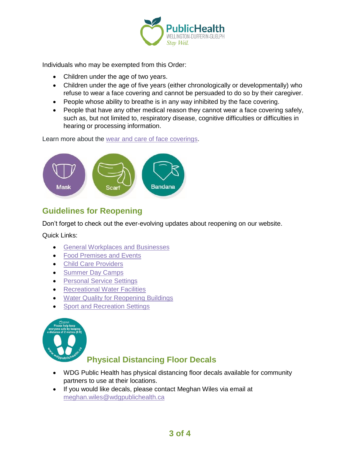

Individuals who may be exempted from this Order:

- Children under the age of two years.
- Children under the age of five years (either chronologically or developmentally) who refuse to wear a face covering and cannot be persuaded to do so by their caregiver.
- People whose ability to breathe is in any way inhibited by the face covering.
- People that have any other medical reason they cannot wear a face covering safely, such as, but not limited to, respiratory disease, cognitive difficulties or difficulties in hearing or processing information.

Learn more about the [wear and care of face coverings.](https://www.wdgpublichealth.ca/your-health/covid-19-information-public/face-coverings-class-order-and-faqs/wear-and-care-face)



## **Guidelines for Reopening**

Don't forget to check out the ever-evolving updates about reopening on our website.

Quick Links:

- [General Workplaces and Businesses](https://www.wdgpublichealth.ca/your-health/covid-19-information-workplaces-and-living-spaces/workplaces-and-businesses)
- [Food Premises and Events](https://wdgpublichealth.ca/your-health/covid-19-information-workplaces-and-living-spaces/food-premises-and-events)
- [Child Care Providers](https://www.wdgpublichealth.ca/your-health/covid-19-information-workplaces-and-living-spaces/child-care-providers)
- [Summer Day Camps](https://www.wdgpublichealth.ca/your-health/covid-19-information-workplaces-and-living-spaces/summer-day-camp-providers)
- [Personal Service Settings](https://www.wdgpublichealth.ca/your-health/covid-19-information-workplaces-and-living-spaces/personal-service-settings)
- Recreational [Water Facilities](https://www.wdgpublichealth.ca/your-health/covid-19-information-workplaces-and-living-spaces/recreational-water-facilities)
- [Water Quality for Reopening Buildings](https://wdgpublichealth.ca/your-health/covid-19-information-workplaces-and-living-spaces/water-quality-reopening-buildings)
- [Sport and Recreation Settings](https://wdgpublichealth.ca/your-health/covid-19-information-workplaces-and-living-spaces/sport-and-recreation-settings)



## **Physical Distancing Floor Decals**

- WDG Public Health has physical distancing floor decals available for community partners to use at their locations.
- If you would like decals, please contact Meghan Wiles via email at [meghan.wiles@wdgpublichealth.ca](https://wdgpublichealth.sharepoint.com/sites/IMS-NovelCoronavirus/Shared%20Documents/General/Communications/COVID-19/Stakeholders/COVID-19%20Information%20Bulletin/Bulletin%2018/meghan.wiles@wdgpublichealth.ca)